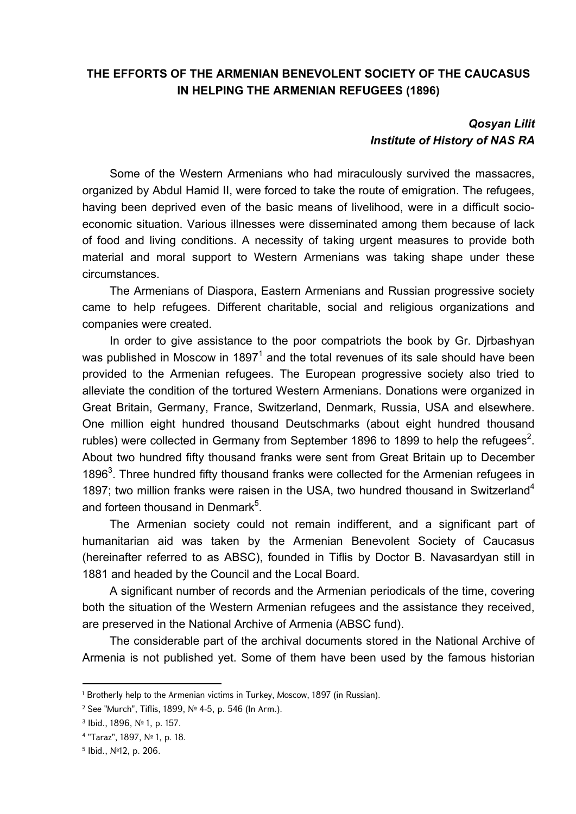## **THE EFFORTS OF THE ARMENIAN BENEVOLENT SOCIETY OF THE CAUCASUS IN HELPING THE ARMENIAN REFUGEES (1896)**

## *Qosyan Lilit Institute of History of NAS RA*

Some of the Western Armenians who had miraculously survived the massacres, organized by Abdul Hamid II, were forced to take the route of emigration. The refugees, having been deprived even of the basic means of livelihood, were in a difficult socioeconomic situation. Various illnesses were disseminated among them because of lack of food and living conditions. A necessity of taking urgent measures to provide both material and moral support to Western Armenians was taking shape under these circumstances.

The Armenians of Diaspora, Eastern Armenians and Russian progressive society came to help refugees. Different charitable, social and religious organizations and companies were created.

In order to give assistance to the poor compatriots the book by Gr. Djrbashyan was published in Moscow in 1897 $^{\text{1}}$  and the total revenues of its sale should have been provided to the Armenian refugees. The European progressive society also tried to alleviate the condition of the tortured Western Armenians. Donations were organized in Great Britain, Germany, France, Switzerland, Denmark, Russia, USA and elsewhere. One million eight hundred thousand Deutschmarks (about eight hundred thousand rubles) were collected in Germany from September 1896 to 1899 to help the refugees<sup>2</sup>. About two hundred fifty thousand franks were sent from Great Britain up to December 1896<sup>3</sup>. Three hundred fifty thousand franks were collected for the Armenian refugees in 1897; two million franks were raisen in the USA, two hundred thousand in Switzerland<sup>4</sup> and forteen thousand in Denmark $5$ .

The Armenian society could not remain indifferent, and a significant part of humanitarian aid was taken by the Armenian Benevolent Society of Caucasus (hereinafter referred to as ABSC), founded in Tiflis by Doctor B. Navasardyan still in 1881 and headed by the Council and the Local Board.

A significant number of records and the Armenian periodicals of the time, covering both the situation of the Western Armenian refugees and the assistance they received, are preserved in the National Archive of Armenia (ABSC fund).

The considerable part of the archival documents stored in the National Archive of Armenia is not published yet. Some of them have been used by the famous historian

<sup>&</sup>lt;sup>1</sup> Brotherly help to the Armenian victims in Turkey, Moscow, 1897 (in Russian).

<sup>2</sup> See "Murch", Tiflis, 1899, № 4-5, p. 546 (In Arm.).

<sup>3</sup> Ibid., 1896, № 1, p. 157.

<sup>4</sup> "Taraz", 1897, № 1, p. 18.

<sup>5</sup> Ibid., №12, p. 206.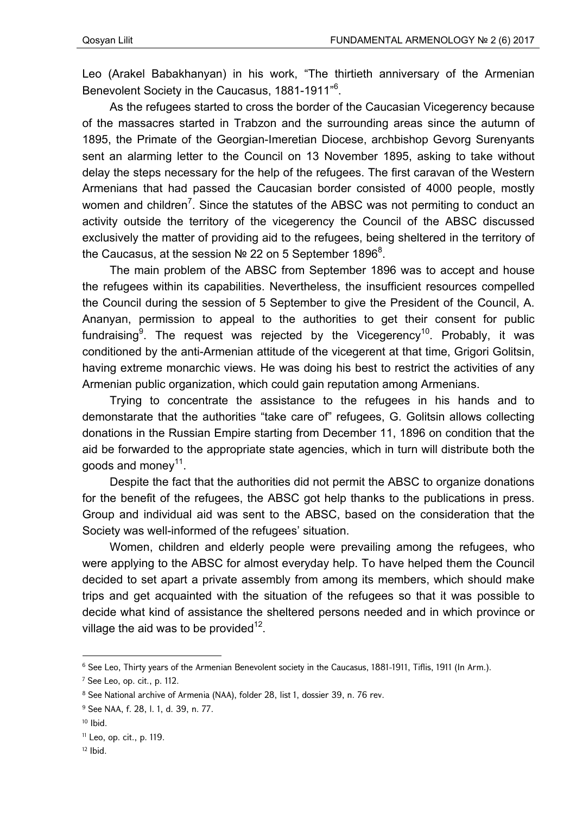Leo (Arakel Babakhanyan) in his work, "The thirtieth anniversary of the Armenian Benevolent Society in the Caucasus, 1881-1911"<sup>6</sup>.

As the refugees started to cross the border of the Caucasian Vicegerency because of the massacres started in Trabzon and the surrounding areas since the autumn of 1895, the Primate of the Georgian-Imeretian Diocese, archbishop Gevorg Surenyants sent an alarming letter to the Council on 13 November 1895, asking to take without delay the steps necessary for the help of the refugees. The first caravan of the Western Armenians that had passed the Caucasian border consisted of 4000 people, mostly women and children<sup>7</sup>. Since the statutes of the ABSC was not permiting to conduct an activity outside the territory of the vicegerency the Council of the ABSC discussed exclusively the matter of providing aid to the refugees, being sheltered in the territory of the Caucasus, at the session № 22 on 5 September 1896 $^8$ .

The main problem of the ABSC from September 1896 was to accept and house the refugees within its capabilities. Nevertheless, the insufficient resources compelled the Council during the session of 5 September to give the President of the Council, A. Ananyan, permission to appeal to the authorities to get their consent for public fundraising $^9$ . The request was rejected by the Vicegerency $^{\rm 10}$ . Probably, it was conditioned by the anti-Armenian attitude of the vicegerent at that time, Grigori Golitsin, having extreme monarchic views. He was doing his best to restrict the activities of any Armenian public organization, which could gain reputation among Armenians.

Trying to concentrate the assistance to the refugees in his hands and to demonstarate that the authorities "take care of" refugees, G. Golitsin allows collecting donations in the Russian Empire starting from December 11, 1896 on condition that the aid be forwarded to the appropriate state agencies, which in turn will distribute both the goods and money<sup>11</sup>.

Despite the fact that the authorities did not permit the ABSC to organize donations for the benefit of the refugees, the ABSC got help thanks to the publications in press. Group and individual aid was sent to the ABSC, based on the consideration that the Society was well-informed of the refugees' situation.

Women, children and elderly people were prevailing among the refugees, who were applying to the ABSC for almost everyday help. To have helped them the Council decided to set apart a private assembly from among its members, which should make trips and get acquainted with the situation of the refugees so that it was possible to decide what kind of assistance the sheltered persons needed and in which province or village the aid was to be provided<sup>12</sup>.

<sup>&</sup>lt;sup>6</sup> See Leo, Thirty years of the Armenian Benevolent society in the Caucasus, 1881-1911, Tiflis, 1911 (In Arm.).

<sup>7</sup> See Leo, op. cit., p. 112.

<sup>8</sup> See National archive of Armenia (NAA), folder 28, list 1, dossier 39, n. 76 rev.

<sup>9</sup> See NAA, f. 28, l. 1, d. 39, n. 77.

 $10$  Ibid.

<sup>11</sup> Leo, op. cit., p. 119.

 $12$  lbid.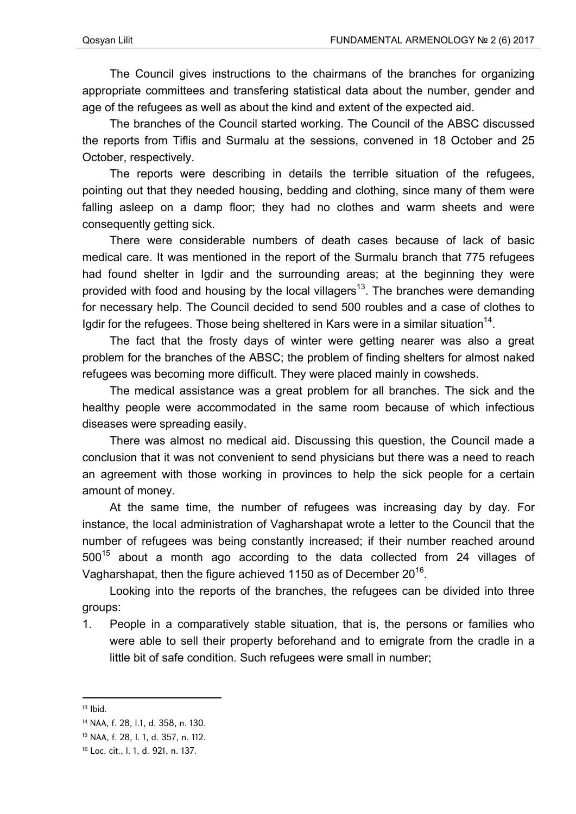The Council gives instructions to the chairmans of the branches for organizing appropriate committees and transfering statistical data about the number, gender and age of the refugees as well as about the kind and extent of the expected aid.

The branches of the Council started working. The Council of the ABSC discussed the reports from Tiflis and Surmalu at the sessions, convened in 18 October and 25 October, respectively.

The reports were describing in details the terrible situation of the refugees, pointing out that they needed housing, bedding and clothing, since many of them were falling asleep on a damp floor; they had no clothes and warm sheets and were consequently getting sick.

There were considerable numbers of death cases because of lack of basic medical care. It was mentioned in the report of the Surmalu branch that 775 refugees had found shelter in Igdir and the surrounding areas; at the beginning they were provided with food and housing by the local villagers<sup>13</sup>. The branches were demanding for necessary help. The Council decided to send 500 roubles and a case of clothes to Igdir for the refugees. Those being sheltered in Kars were in a similar situation<sup>14</sup>.

The fact that the frosty days of winter were getting nearer was also a great problem for the branches of the ABSC; the problem of finding shelters for almost naked refugees was becoming more difficult. They were placed mainly in cowsheds.

The medical assistance was a great problem for all branches. The sick and the healthy people were accommodated in the same room because of which infectious diseases were spreading easily.

There was almost no medical aid. Discussing this question, the Council made a conclusion that it was not convenient to send physicians but there was a need to reach an agreement with those working in provinces to help the sick people for a certain amount of money.

At the same time, the number of refugees was increasing day by day. For instance, the local administration of Vagharshapat wrote a letter to the Council that the number of refugees was being constantly increased; if their number reached around  $500^{15}$  about a month ago according to the data collected from 24 villages of Vagharshapat, then the figure achieved 1150 as of December 20<sup>16</sup>.

Looking into the reports of the branches, the refugees can be divided into three groups:

1. People in a comparatively stable situation, that is, the persons or families who were able to sell their property beforehand and to emigrate from the cradle in a little bit of safe condition. Such refugees were small in number;

 $13$  Ibid.

<sup>14</sup> NAA, f. 28, l.1, d. 358, n. 130.

<sup>15</sup> NAA, f. 28, l. 1, d. 357, n. 112.

<sup>16</sup> Loc. cit., l. 1, d. 921, n. 137.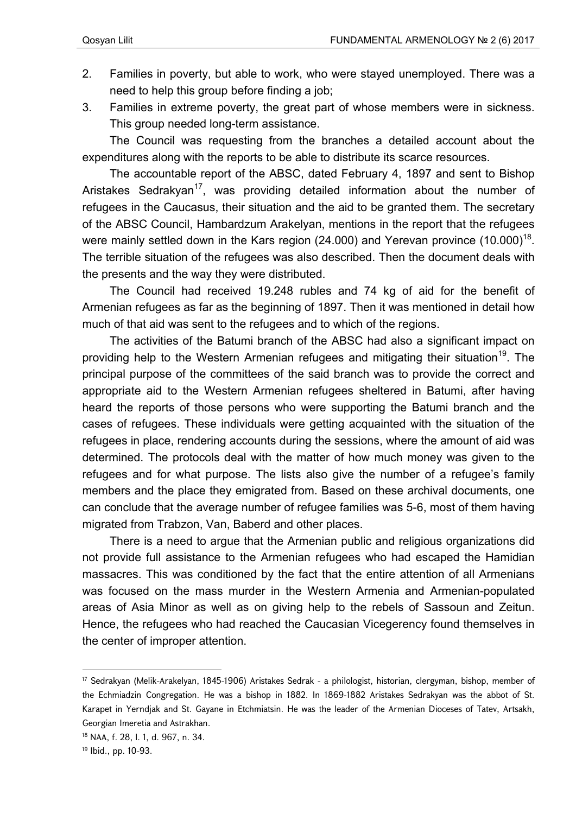- 2. Families in poverty, but able to work, who were stayed unemployed. There was a need to help this group before finding a job;
- 3. Families in extreme poverty, the great part of whose members were in sickness. This group needed long-term assistance.

The Council was requesting from the branches a detailed account about the expenditures along with the reports to be able to distribute its scarce resources.

The accountable report of the ABSC, dated February 4, 1897 and sent to Bishop Aristakes Sedrakyan<sup>17</sup>, was providing detailed information about the number of refugees in the Caucasus, their situation and the aid to be granted them. The secretary of the ABSC Council, Hambardzum Arakelyan, mentions in the report that the refugees were mainly settled down in the Kars region (24.000) and Yerevan province  $(10.000)^{18}$ . The terrible situation of the refugees was also described. Then the document deals with the presents and the way they were distributed.

The Council had received 19.248 rubles and 74 kg of aid for the benefit of Armenian refugees as far as the beginning of 1897. Then it was mentioned in detail how much of that aid was sent to the refugees and to which of the regions.

The activities of the Batumi branch of the ABSC had also a significant impact on providing help to the Western Armenian refugees and mitigating their situation<sup>19</sup>. The principal purpose of the committees of the said branch was to provide the correct and appropriate aid to the Western Armenian refugees sheltered in Batumi, after having heard the reports of those persons who were supporting the Batumi branch and the cases of refugees. These individuals were getting acquainted with the situation of the refugees in place, rendering accounts during the sessions, where the amount of aid was determined. The protocols deal with the matter of how much money was given to the refugees and for what purpose. The lists also give the number of a refugee's family members and the place they emigrated from. Based on these archival documents, one can conclude that the average number of refugee families was 5-6, most of them having migrated from Trabzon, Van, Baberd and other places.

There is a need to argue that the Armenian public and religious organizations did not provide full assistance to the Armenian refugees who had escaped the Hamidian massacres. This was conditioned by the fact that the entire attention of all Armenians was focused on the mass murder in the Western Armenia and Armenian-populated areas of Asia Minor as well as on giving help to the rebels of Sassoun and Zeitun. Hence, the refugees who had reached the Caucasian Vicegerency found themselves in the center of improper attention.

<sup>17</sup> Sedrakyan (Melik-Arakelyan, 1845-1906) Aristakes Sedrak - a philologist, historian, clergyman, bishop, member of the Echmiadzin Congregation. He was a bishop in 1882. In 1869-1882 Aristakes Sedrakyan was the abbot of St. Karapet in Yerndjak and St. Gayane in Etchmiatsin. He was the leader of the Armenian Dioceses of Tatev, Artsakh, Georgian Imeretia and Astrakhan.

<sup>18</sup> NAA, f. 28, l. 1, d. 967, n. 34.

<sup>19</sup> Ibid., pp. 10-93.